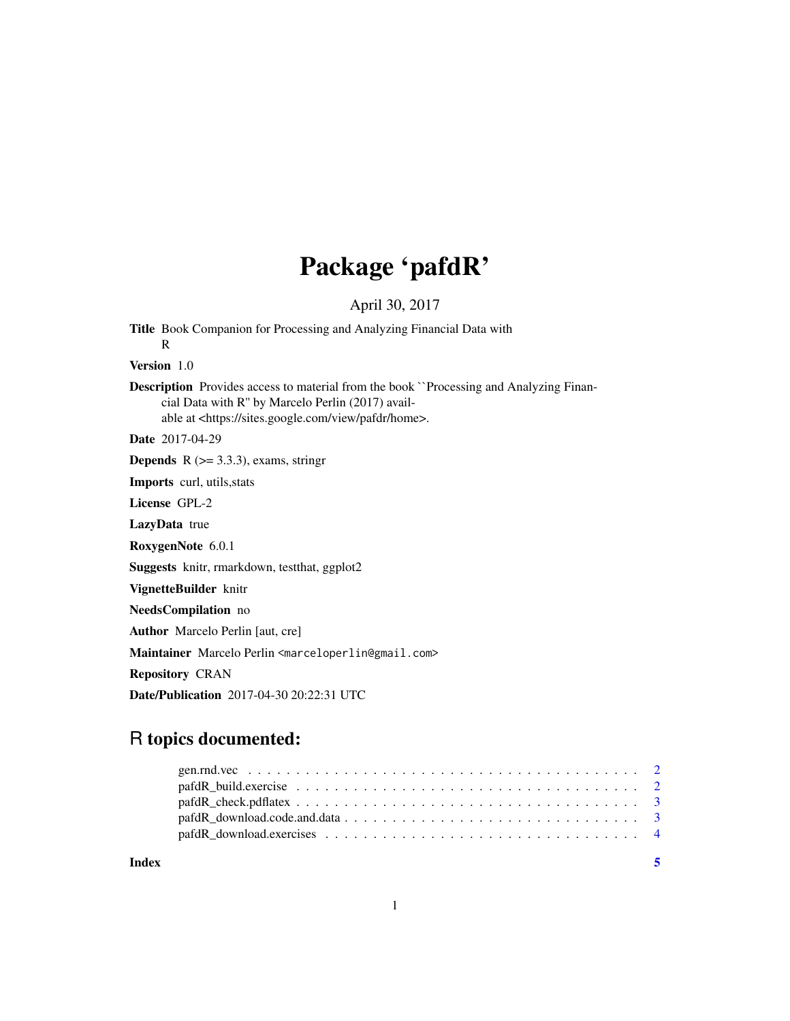## Package 'pafdR'

April 30, 2017

Title Book Companion for Processing and Analyzing Financial Data with R Version 1.0 Description Provides access to material from the book ``Processing and Analyzing Financial Data with R'' by Marcelo Perlin (2017) available at <https://sites.google.com/view/pafdr/home>. Date 2017-04-29 **Depends** R  $(>= 3.3.3)$ , exams, stringr Imports curl, utils,stats License GPL-2 LazyData true RoxygenNote 6.0.1 Suggests knitr, rmarkdown, testthat, ggplot2 VignetteBuilder knitr NeedsCompilation no Author Marcelo Perlin [aut, cre] Maintainer Marcelo Perlin <marceloperlin@gmail.com> Repository CRAN Date/Publication 2017-04-30 20:22:31 UTC

### R topics documented:

**Index** [5](#page-4-0). The second state of the second state of the second state of the second state of the second state of the second state of the second state of the second state of the second state of the second state of the second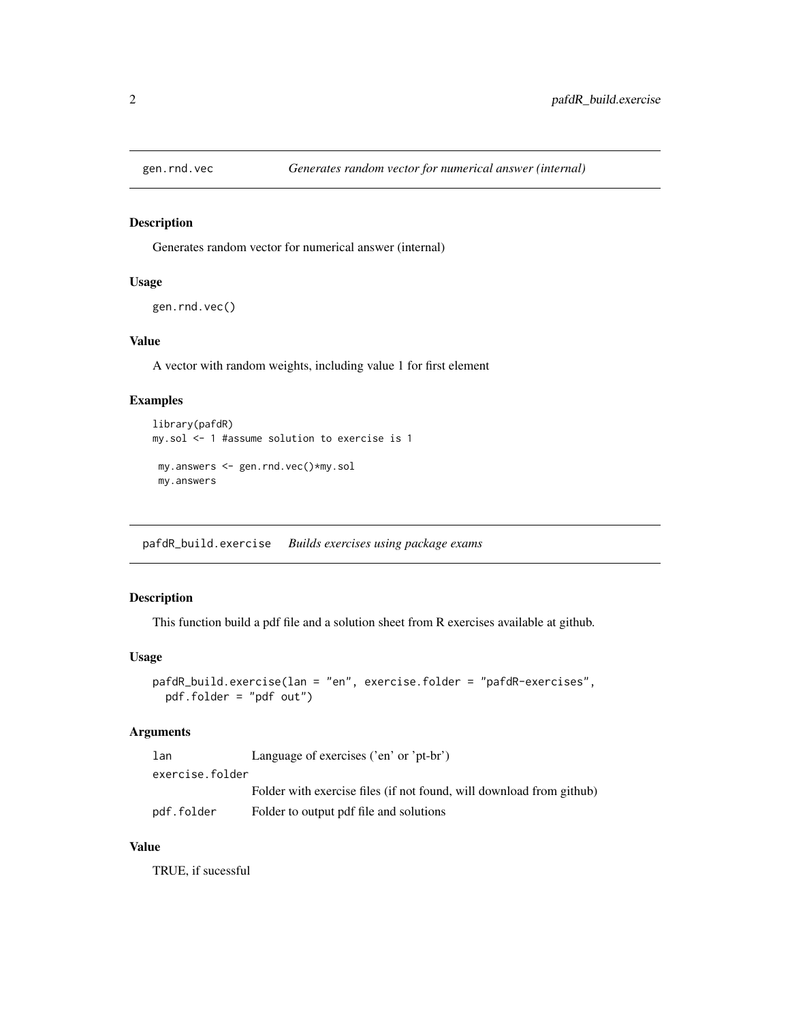<span id="page-1-0"></span>

#### Description

Generates random vector for numerical answer (internal)

#### Usage

```
gen.rnd.vec()
```
#### Value

A vector with random weights, including value 1 for first element

#### Examples

```
library(pafdR)
my.sol <- 1 #assume solution to exercise is 1
my.answers <- gen.rnd.vec()*my.sol
my.answers
```
pafdR\_build.exercise *Builds exercises using package exams*

#### Description

This function build a pdf file and a solution sheet from R exercises available at github.

#### Usage

```
pafdR_build.exercise(lan = "en", exercise.folder = "pafdR-exercises",
 pdf.folder = "pdf out")
```
#### Arguments

| lan             | Language of exercises ('en' or 'pt-br')                              |  |
|-----------------|----------------------------------------------------------------------|--|
| exercise.folder |                                                                      |  |
|                 | Folder with exercise files (if not found, will download from github) |  |
| pdf.folder      | Folder to output pdf file and solutions                              |  |

#### Value

TRUE, if sucessful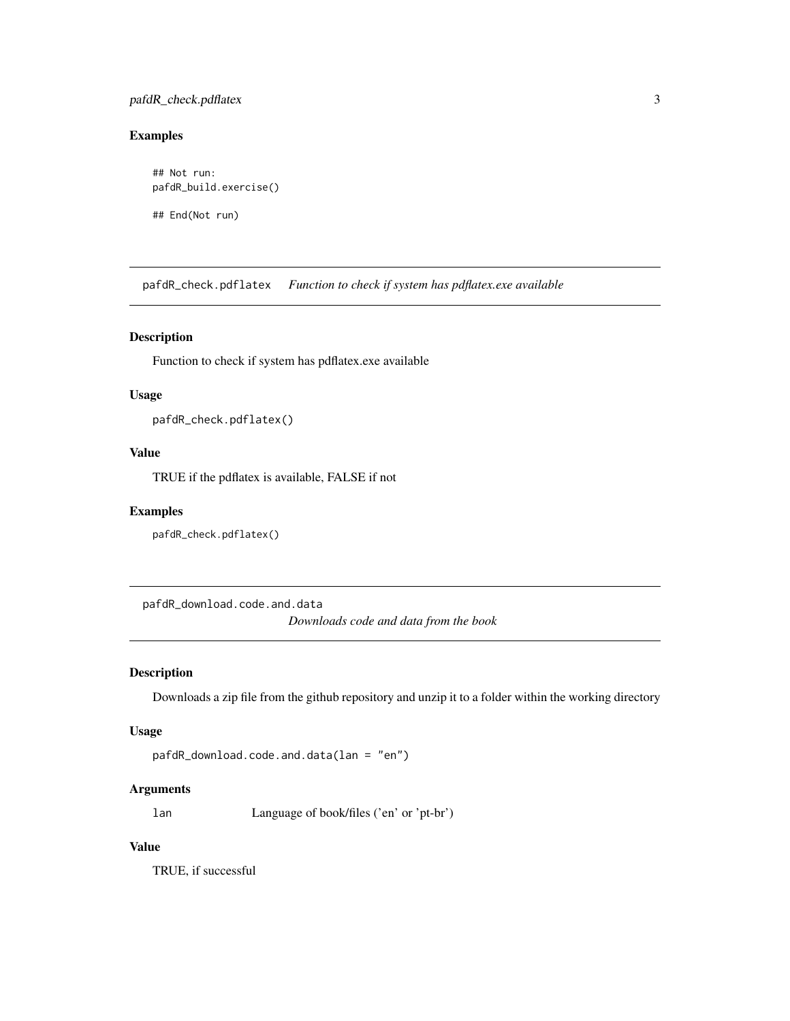#### <span id="page-2-0"></span>pafdR\_check.pdflatex 3

#### Examples

## Not run: pafdR\_build.exercise()

## End(Not run)

pafdR\_check.pdflatex *Function to check if system has pdflatex.exe available*

#### Description

Function to check if system has pdflatex.exe available

#### Usage

```
pafdR_check.pdflatex()
```
#### Value

TRUE if the pdflatex is available, FALSE if not

#### Examples

pafdR\_check.pdflatex()

pafdR\_download.code.and.data *Downloads code and data from the book*

#### Description

Downloads a zip file from the github repository and unzip it to a folder within the working directory

#### Usage

```
pafdR_download.code.and.data(lan = "en")
```
#### Arguments

lan Language of book/files ('en' or 'pt-br')

#### Value

TRUE, if successful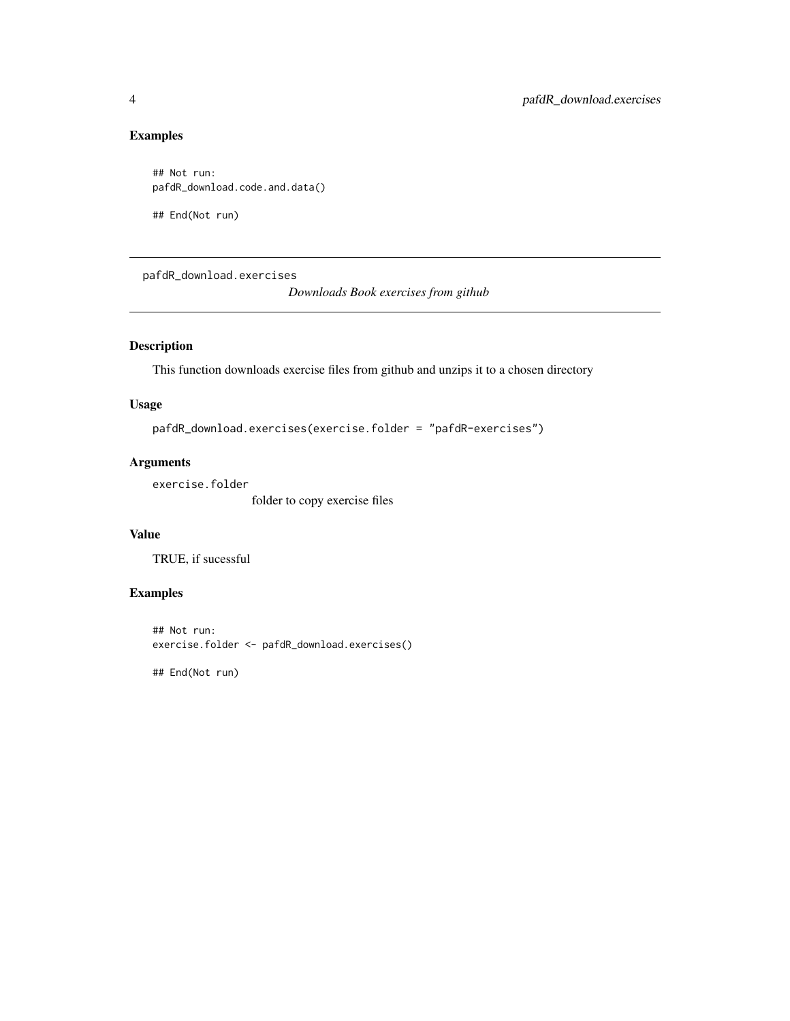#### <span id="page-3-0"></span>Examples

```
## Not run:
pafdR_download.code.and.data()
```
## End(Not run)

pafdR\_download.exercises *Downloads Book exercises from github*

#### Description

This function downloads exercise files from github and unzips it to a chosen directory

#### Usage

```
pafdR_download.exercises(exercise.folder = "pafdR-exercises")
```
#### Arguments

exercise.folder

folder to copy exercise files

#### Value

TRUE, if sucessful

#### Examples

## Not run: exercise.folder <- pafdR\_download.exercises()

## End(Not run)